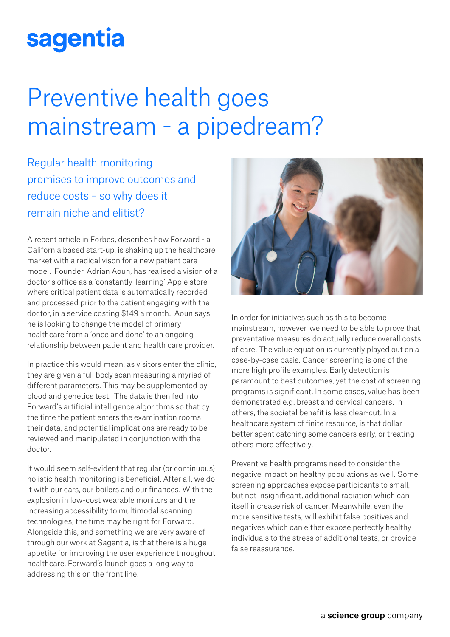## sagentia

## Preventive health goes mainstream - a pipedream?

Regular health monitoring promises to improve outcomes and reduce costs – so why does it remain niche and elitist?

A recent article in Forbes, describes how Forward - a California based start-up, is shaking up the healthcare market with a radical vison for a new patient care model. Founder, Adrian Aoun, has realised a vision of a doctor's office as a 'constantly-learning' Apple store where critical patient data is automatically recorded and processed prior to the patient engaging with the doctor, in a service costing \$149 a month. Aoun says he is looking to change the model of primary healthcare from a 'once and done' to an ongoing relationship between patient and health care provider.

In practice this would mean, as visitors enter the clinic, they are given a full body scan measuring a myriad of different parameters. This may be supplemented by blood and genetics test. The data is then fed into Forward's artificial intelligence algorithms so that by the time the patient enters the examination rooms their data, and potential implications are ready to be reviewed and manipulated in conjunction with the doctor.

It would seem self-evident that regular (or continuous) holistic health monitoring is beneficial. After all, we do it with our cars, our boilers and our finances. With the explosion in low-cost wearable monitors and the increasing accessibility to multimodal scanning technologies, the time may be right for Forward. Alongside this, and something we are very aware of through our work at Sagentia, is that there is a huge appetite for improving the user experience throughout healthcare. Forward's launch goes a long way to addressing this on the front line.



In order for initiatives such as this to become mainstream, however, we need to be able to prove that preventative measures do actually reduce overall costs of care. The value equation is currently played out on a case-by-case basis. Cancer screening is one of the more high profile examples. Early detection is paramount to best outcomes, yet the cost of screening programs is significant. In some cases, value has been demonstrated e.g. breast and cervical cancers. In others, the societal benefit is less clear-cut. In a healthcare system of finite resource, is that dollar better spent catching some cancers early, or treating others more effectively.

Preventive health programs need to consider the negative impact on healthy populations as well. Some screening approaches expose participants to small, but not insignificant, additional radiation which can itself increase risk of cancer. Meanwhile, even the more sensitive tests, will exhibit false positives and negatives which can either expose perfectly healthy individuals to the stress of additional tests, or provide false reassurance.